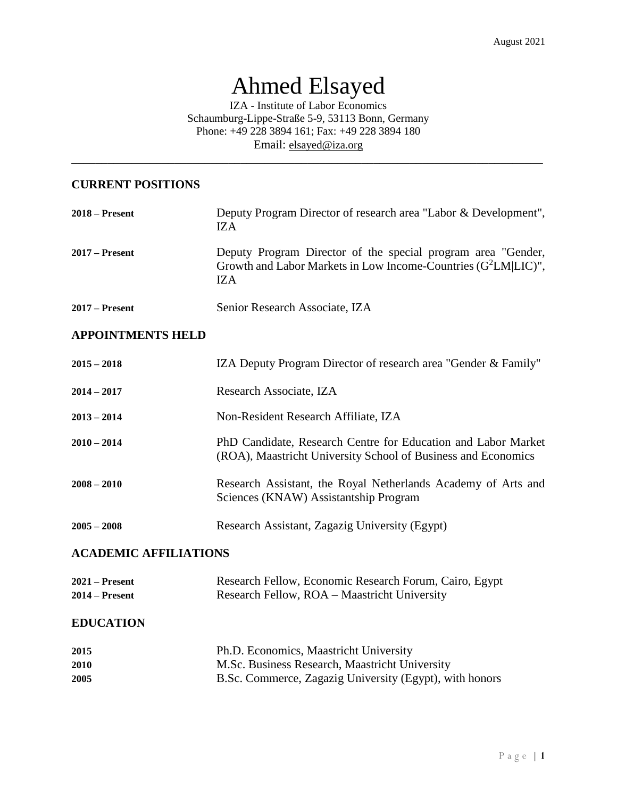# Ahmed Elsayed

IZA - Institute of Labor Economics Schaumburg-Lippe-Straße 5-9, 53113 Bonn, Germany Phone: +49 228 3894 161; Fax: +49 228 3894 180 Email: [elsayed@iza.org](mailto:elsayed@iza.org)

\_\_\_\_\_\_\_\_\_\_\_\_\_\_\_\_\_\_\_\_\_\_\_\_\_\_\_\_\_\_\_\_\_\_\_\_\_\_\_\_\_\_\_\_\_\_\_\_\_\_\_\_\_\_\_\_\_\_\_\_\_\_\_\_\_\_\_\_\_\_\_\_\_\_\_\_\_\_

## **CURRENT POSITIONS**

| $2018 -$ Present | Deputy Program Director of research area "Labor & Development",<br>IZA                                                                   |
|------------------|------------------------------------------------------------------------------------------------------------------------------------------|
| $2017$ – Present | Deputy Program Director of the special program area "Gender,<br>Growth and Labor Markets in Low Income-Countries $(G^2LM LIC)$ ",<br>IZA |
| $2017$ – Present | Senior Research Associate, IZA                                                                                                           |

### **APPOINTMENTS HELD**

| $2015 - 2018$                | <b>IZA Deputy Program Director of research area "Gender &amp; Family"</b>                                                      |  |  |  |
|------------------------------|--------------------------------------------------------------------------------------------------------------------------------|--|--|--|
| $2014 - 2017$                | Research Associate, IZA                                                                                                        |  |  |  |
| $2013 - 2014$                | Non-Resident Research Affiliate, IZA                                                                                           |  |  |  |
| $2010 - 2014$                | PhD Candidate, Research Centre for Education and Labor Market<br>(ROA), Maastricht University School of Business and Economics |  |  |  |
| $2008 - 2010$                | Research Assistant, the Royal Netherlands Academy of Arts and<br>Sciences (KNAW) Assistantship Program                         |  |  |  |
| $2005 - 2008$                | Research Assistant, Zagazig University (Egypt)                                                                                 |  |  |  |
| <b>ACADEMIC AFFILIATIONS</b> |                                                                                                                                |  |  |  |
| $2021 -$ Present             | Research Fellow, Economic Research Forum, Cairo, Egypt                                                                         |  |  |  |
| $2014 -$ Present             | Research Fellow, ROA – Maastricht University                                                                                   |  |  |  |
| <b>EDUCATION</b>             |                                                                                                                                |  |  |  |

| 2015 | Ph.D. Economics, Maastricht University                  |
|------|---------------------------------------------------------|
| 2010 | M.Sc. Business Research, Maastricht University          |
| 2005 | B.Sc. Commerce, Zagazig University (Egypt), with honors |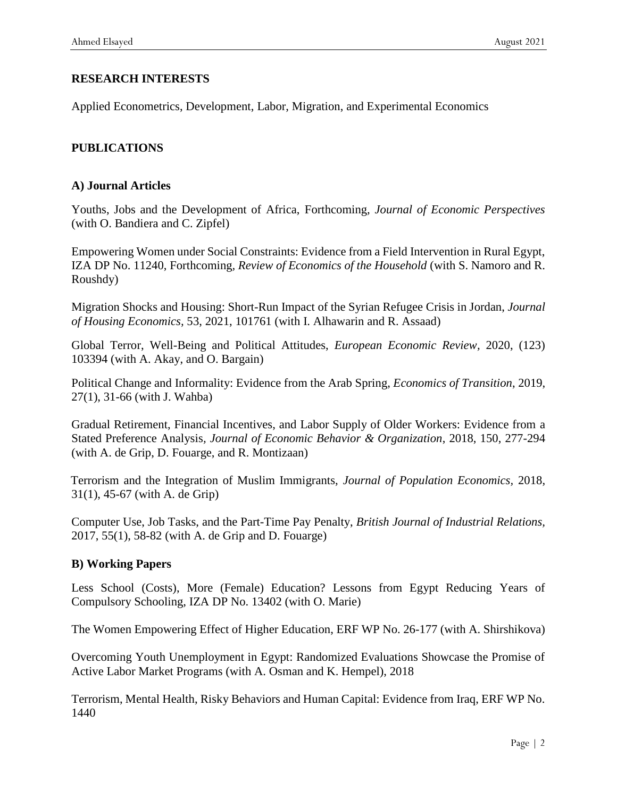## **RESEARCH INTERESTS**

Applied Econometrics, Development, Labor, Migration, and Experimental Economics

### **PUBLICATIONS**

#### **A) Journal Articles**

Youths, Jobs and the Development of Africa, Forthcoming*, Journal of Economic Perspectives* (with O. Bandiera and C. Zipfel)

Empowering Women under Social Constraints: Evidence from a Field Intervention in Rural Egypt, IZA DP No. 11240, Forthcoming*, Review of Economics of the Household* (with S. Namoro and R. Roushdy)

Migration Shocks and Housing: Short-Run Impact of the Syrian Refugee Crisis in Jordan, *Journal of Housing Economics,* 53, 2021, 101761 (with I. Alhawarin and R. Assaad)

Global Terror, Well-Being and Political Attitudes, *European Economic Review,* 2020, (123) 103394 (with A. Akay, and O. Bargain)

Political Change and Informality: Evidence from the Arab Spring, *Economics of Transition*, 2019, 27(1), 31-66 (with J. Wahba)

Gradual Retirement, Financial Incentives, and Labor Supply of Older Workers: Evidence from a Stated Preference Analysis*, Journal of Economic Behavior & Organization*, 2018, 150, 277-294 (with A. de Grip, D. Fouarge, and R. Montizaan)

Terrorism and the Integration of Muslim Immigrants, *Journal of Population Economics,* 2018, 31(1), 45-67 (with A. de Grip)

Computer Use, Job Tasks, and the Part-Time Pay Penalty, *British Journal of Industrial Relations,*  2017, 55(1), 58-82 (with A. de Grip and D. Fouarge)

#### **B) Working Papers**

Less School (Costs), More (Female) Education? Lessons from Egypt Reducing Years of Compulsory Schooling, IZA DP No. 13402 (with O. Marie)

The Women Empowering Effect of Higher Education, ERF WP No. 26-177 (with A. Shirshikova)

Overcoming Youth Unemployment in Egypt: Randomized Evaluations Showcase the Promise of Active Labor Market Programs (with A. Osman and K. Hempel), 2018

Terrorism, Mental Health, Risky Behaviors and Human Capital: Evidence from Iraq, ERF WP No. 1440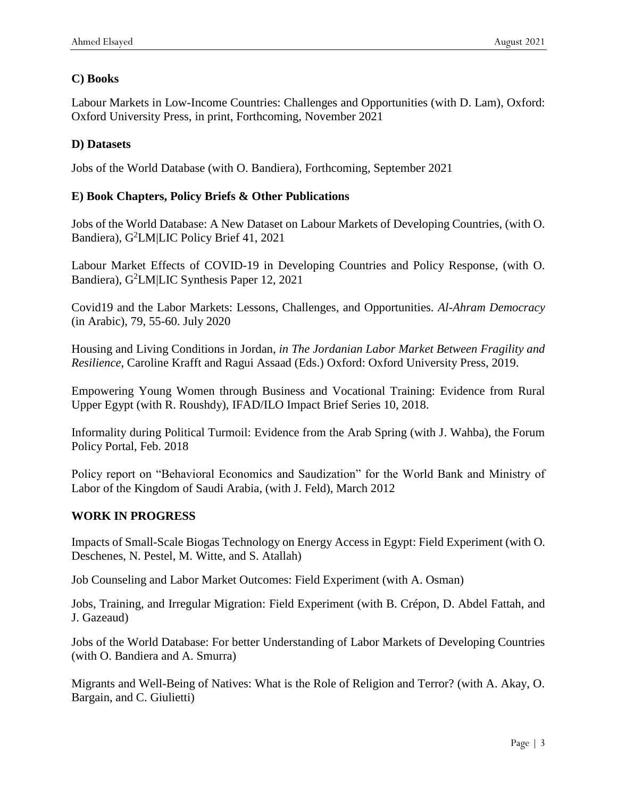## **C) Books**

Labour Markets in Low-Income Countries: Challenges and Opportunities (with D. Lam), Oxford: Oxford University Press, in print, Forthcoming, November 2021

## **D) Datasets**

Jobs of the World Database (with O. Bandiera), Forthcoming, September 2021

## **E) Book Chapters, Policy Briefs & Other Publications**

Jobs of the World Database: A New Dataset on Labour Markets of Developing Countries, (with O. Bandiera), G<sup>2</sup>LM|LIC Policy Brief 41, 2021

Labour Market Effects of COVID-19 in Developing Countries and Policy Response, (with O. Bandiera), G<sup>2</sup>LM|LIC Synthesis Paper 12, 2021

Covid19 and the Labor Markets: Lessons, Challenges, and Opportunities. *Al-Ahram Democracy* (in Arabic), 79, 55-60. July 2020

Housing and Living Conditions in Jordan, *in The Jordanian Labor Market Between Fragility and Resilience*, Caroline Krafft and Ragui Assaad (Eds.) Oxford: Oxford University Press, 2019.

Empowering Young Women through Business and Vocational Training: Evidence from Rural Upper Egypt (with R. Roushdy), IFAD/ILO Impact Brief Series 10, 2018.

Informality during Political Turmoil: Evidence from the Arab Spring (with J. Wahba), the Forum Policy Portal, Feb. 2018

Policy report on "Behavioral Economics and Saudization" for the World Bank and Ministry of Labor of the Kingdom of Saudi Arabia, (with J. Feld), March 2012

## **WORK IN PROGRESS**

Impacts of Small-Scale Biogas Technology on Energy Access in Egypt: Field Experiment (with O. Deschenes, N. Pestel, M. Witte, and S. Atallah)

Job Counseling and Labor Market Outcomes: Field Experiment (with A. Osman)

Jobs, Training, and Irregular Migration: Field Experiment (with B. Crépon, D. Abdel Fattah, and J. Gazeaud)

Jobs of the World Database: For better Understanding of Labor Markets of Developing Countries (with O. Bandiera and A. Smurra)

Migrants and Well-Being of Natives: What is the Role of Religion and Terror? (with A. Akay, O. Bargain, and C. Giulietti)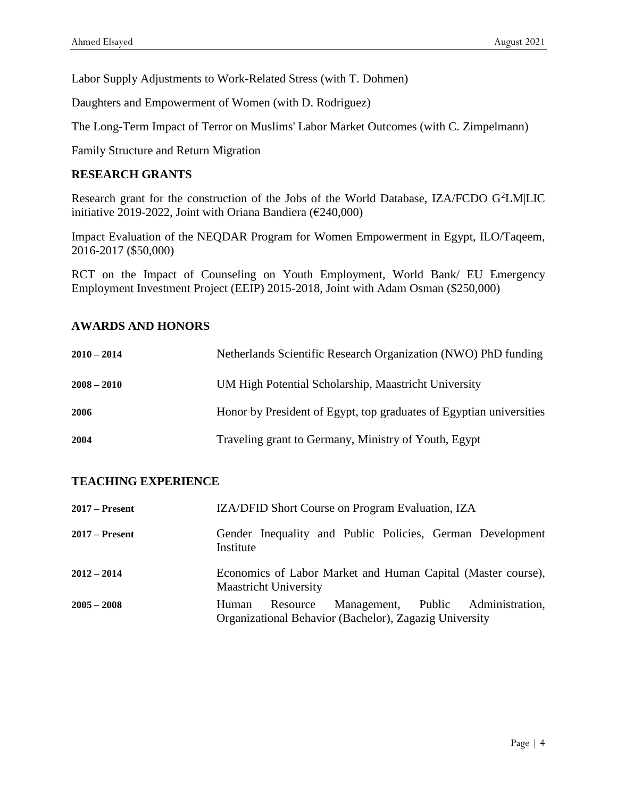Labor Supply Adjustments to Work-Related Stress (with T. Dohmen)

Daughters and Empowerment of Women (with D. Rodriguez)

The Long-Term Impact of Terror on Muslims' Labor Market Outcomes (with C. Zimpelmann)

Family Structure and Return Migration

#### **RESEARCH GRANTS**

Research grant for the construction of the Jobs of the World Database, IZA/FCDO G<sup>2</sup>LM|LIC initiative 2019-2022, Joint with Oriana Bandiera ( $\epsilon$ 240,000)

Impact Evaluation of the NEQDAR Program for Women Empowerment in Egypt, ILO/Taqeem, 2016-2017 (\$50,000)

RCT on the Impact of Counseling on Youth Employment, World Bank/ EU Emergency Employment Investment Project (EEIP) 2015-2018, Joint with Adam Osman (\$250,000)

#### **AWARDS AND HONORS**

| $2010 - 2014$ | Netherlands Scientific Research Organization (NWO) PhD funding      |
|---------------|---------------------------------------------------------------------|
| $2008 - 2010$ | UM High Potential Scholarship, Maastricht University                |
| 2006          | Honor by President of Egypt, top graduates of Egyptian universities |
| 2004          | Traveling grant to Germany, Ministry of Youth, Egypt                |

#### **TEACHING EXPERIENCE**

| $2017 -$ Present | <b>IZA/DFID Short Course on Program Evaluation, IZA</b>                                                           |  |  |  |  |  |  |  |
|------------------|-------------------------------------------------------------------------------------------------------------------|--|--|--|--|--|--|--|
| $2017$ – Present | Gender Inequality and Public Policies, German Development<br>Institute                                            |  |  |  |  |  |  |  |
| $2012 - 2014$    | Economics of Labor Market and Human Capital (Master course),<br><b>Maastricht University</b>                      |  |  |  |  |  |  |  |
| $2005 - 2008$    | Management, Public Administration,<br>Resource<br>Human<br>Organizational Behavior (Bachelor), Zagazig University |  |  |  |  |  |  |  |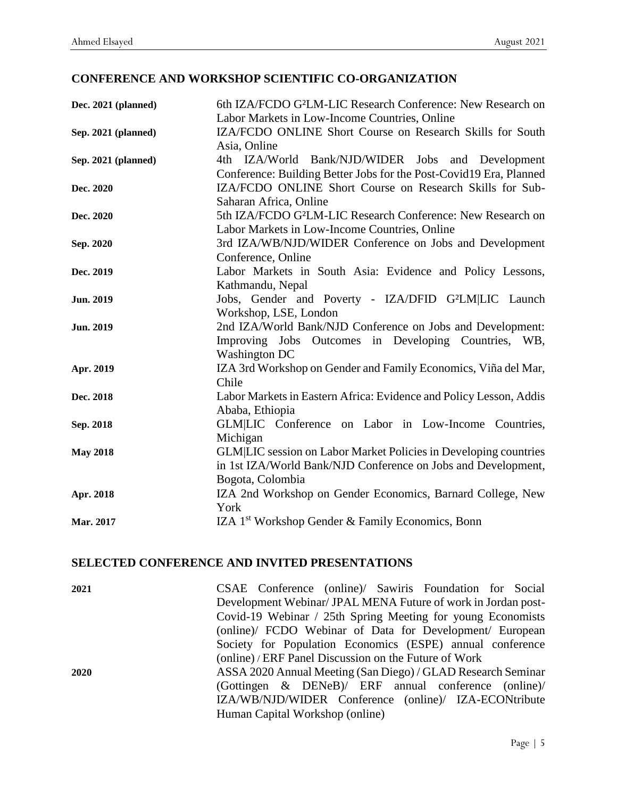# **CONFERENCE AND WORKSHOP SCIENTIFIC CO-ORGANIZATION**

| Dec. 2021 (planned) | 6th IZA/FCDO G <sup>2</sup> LM-LIC Research Conference: New Research on |  |  |  |  |  |
|---------------------|-------------------------------------------------------------------------|--|--|--|--|--|
|                     | Labor Markets in Low-Income Countries, Online                           |  |  |  |  |  |
| Sep. 2021 (planned) | IZA/FCDO ONLINE Short Course on Research Skills for South               |  |  |  |  |  |
|                     | Asia, Online                                                            |  |  |  |  |  |
| Sep. 2021 (planned) | 4th IZA/World Bank/NJD/WIDER Jobs and Development                       |  |  |  |  |  |
|                     | Conference: Building Better Jobs for the Post-Covid19 Era, Planned      |  |  |  |  |  |
| Dec. 2020           | IZA/FCDO ONLINE Short Course on Research Skills for Sub-                |  |  |  |  |  |
|                     | Saharan Africa, Online                                                  |  |  |  |  |  |
| Dec. 2020           | 5th IZA/FCDO G <sup>2</sup> LM-LIC Research Conference: New Research on |  |  |  |  |  |
|                     | Labor Markets in Low-Income Countries, Online                           |  |  |  |  |  |
| Sep. 2020           | 3rd IZA/WB/NJD/WIDER Conference on Jobs and Development                 |  |  |  |  |  |
|                     | Conference, Online                                                      |  |  |  |  |  |
| Dec. 2019           | Labor Markets in South Asia: Evidence and Policy Lessons,               |  |  |  |  |  |
|                     | Kathmandu, Nepal                                                        |  |  |  |  |  |
| <b>Jun. 2019</b>    | Jobs, Gender and Poverty - IZA/DFID G <sup>2</sup> LM LIC Launch        |  |  |  |  |  |
|                     | Workshop, LSE, London                                                   |  |  |  |  |  |
| <b>Jun. 2019</b>    | 2nd IZA/World Bank/NJD Conference on Jobs and Development:              |  |  |  |  |  |
|                     | Improving Jobs Outcomes in Developing Countries, WB,                    |  |  |  |  |  |
|                     | <b>Washington DC</b>                                                    |  |  |  |  |  |
| Apr. 2019           | IZA 3rd Workshop on Gender and Family Economics, Viña del Mar,          |  |  |  |  |  |
|                     | Chile                                                                   |  |  |  |  |  |
| Dec. 2018           | Labor Markets in Eastern Africa: Evidence and Policy Lesson, Addis      |  |  |  |  |  |
|                     | Ababa, Ethiopia                                                         |  |  |  |  |  |
| Sep. 2018           | GLM LIC Conference on Labor in Low-Income Countries,                    |  |  |  |  |  |
|                     | Michigan                                                                |  |  |  |  |  |
| <b>May 2018</b>     | <b>GLM LIC</b> session on Labor Market Policies in Developing countries |  |  |  |  |  |
|                     | in 1st IZA/World Bank/NJD Conference on Jobs and Development,           |  |  |  |  |  |
|                     | Bogota, Colombia                                                        |  |  |  |  |  |
| Apr. 2018           | IZA 2nd Workshop on Gender Economics, Barnard College, New              |  |  |  |  |  |
|                     | York                                                                    |  |  |  |  |  |
| Mar. 2017           | IZA 1 <sup>st</sup> Workshop Gender & Family Economics, Bonn            |  |  |  |  |  |

## **SELECTED CONFERENCE AND INVITED PRESENTATIONS**

| 2021                            | CSAE Conference (online)/ Sawiris Foundation for Social       |  |  |  |  |  |  |
|---------------------------------|---------------------------------------------------------------|--|--|--|--|--|--|
|                                 | Development Webinar/ JPAL MENA Future of work in Jordan post- |  |  |  |  |  |  |
|                                 | Covid-19 Webinar / 25th Spring Meeting for young Economists   |  |  |  |  |  |  |
|                                 | (online)/ FCDO Webinar of Data for Development/ European      |  |  |  |  |  |  |
|                                 | Society for Population Economics (ESPE) annual conference     |  |  |  |  |  |  |
|                                 | (online) / ERF Panel Discussion on the Future of Work         |  |  |  |  |  |  |
| 2020                            | ASSA 2020 Annual Meeting (San Diego) / GLAD Research Seminar  |  |  |  |  |  |  |
|                                 | (Gottingen $\&$ DENeB)/ ERF annual conference (online)/       |  |  |  |  |  |  |
|                                 | IZA/WB/NJD/WIDER Conference (online)/ IZA-ECONtribute         |  |  |  |  |  |  |
| Human Capital Workshop (online) |                                                               |  |  |  |  |  |  |